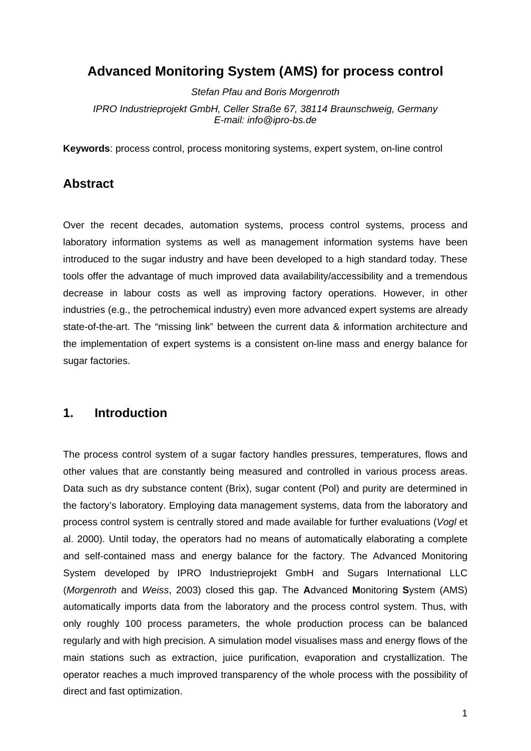# **Advanced Monitoring System (AMS) for process control**

*Stefan Pfau and Boris Morgenroth IPRO Industrieprojekt GmbH, Celler Straße 67, 38114 Braunschweig, Germany E-mail: info@ipro-bs.de* 

**Keywords**: process control, process monitoring systems, expert system, on-line control

### **Abstract**

Over the recent decades, automation systems, process control systems, process and laboratory information systems as well as management information systems have been introduced to the sugar industry and have been developed to a high standard today. These tools offer the advantage of much improved data availability/accessibility and a tremendous decrease in labour costs as well as improving factory operations. However, in other industries (e.g., the petrochemical industry) even more advanced expert systems are already state-of-the-art. The "missing link" between the current data & information architecture and the implementation of expert systems is a consistent on-line mass and energy balance for sugar factories.

### **1. Introduction**

The process control system of a sugar factory handles pressures, temperatures, flows and other values that are constantly being measured and controlled in various process areas. Data such as dry substance content (Brix), sugar content (Pol) and purity are determined in the factory's laboratory. Employing data management systems, data from the laboratory and process control system is centrally stored and made available for further evaluations (*Vogl* et al. 2000). Until today, the operators had no means of automatically elaborating a complete and self-contained mass and energy balance for the factory. The Advanced Monitoring System developed by IPRO Industrieprojekt GmbH and Sugars International LLC (*Morgenroth* and *Weiss*, 2003) closed this gap. The **A**dvanced **M**onitoring **S**ystem (AMS) automatically imports data from the laboratory and the process control system. Thus, with only roughly 100 process parameters, the whole production process can be balanced regularly and with high precision. A simulation model visualises mass and energy flows of the main stations such as extraction, juice purification, evaporation and crystallization. The operator reaches a much improved transparency of the whole process with the possibility of direct and fast optimization.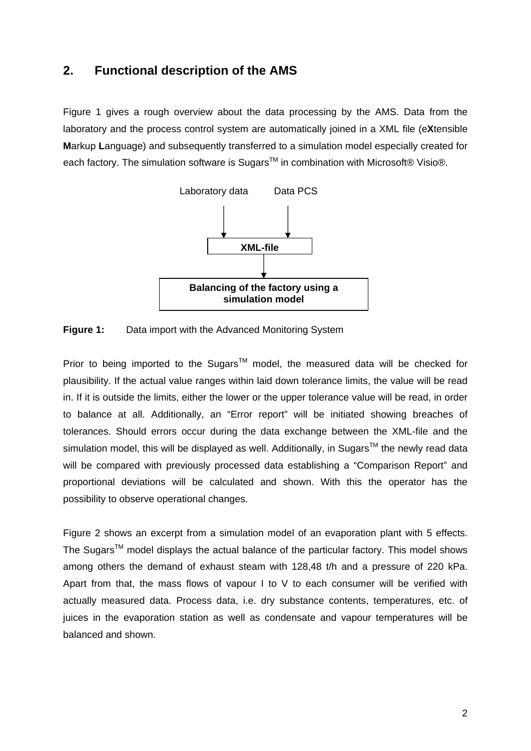## **2. Functional description of the AMS**

Figure 1 gives a rough overview about the data processing by the AMS. Data from the laboratory and the process control system are automatically joined in a XML file (e**X**tensible **M**arkup **L**anguage) and subsequently transferred to a simulation model especially created for each factory. The simulation software is Sugars™ in combination with Microsoft® Visio®.



**Figure 1:** Data import with the Advanced Monitoring System

Prior to being imported to the Sugars<sup>TM</sup> model, the measured data will be checked for plausibility. If the actual value ranges within laid down tolerance limits, the value will be read in. If it is outside the limits, either the lower or the upper tolerance value will be read, in order to balance at all. Additionally, an "Error report" will be initiated showing breaches of tolerances. Should errors occur during the data exchange between the XML-file and the simulation model, this will be displayed as well. Additionally, in Sugars<sup>TM</sup> the newly read data will be compared with previously processed data establishing a "Comparison Report" and proportional deviations will be calculated and shown. With this the operator has the possibility to observe operational changes.

Figure 2 shows an excerpt from a simulation model of an evaporation plant with 5 effects. The Sugars<sup>TM</sup> model displays the actual balance of the particular factory. This model shows among others the demand of exhaust steam with 128,48 t/h and a pressure of 220 kPa. Apart from that, the mass flows of vapour I to V to each consumer will be verified with actually measured data. Process data, i.e. dry substance contents, temperatures, etc. of juices in the evaporation station as well as condensate and vapour temperatures will be balanced and shown.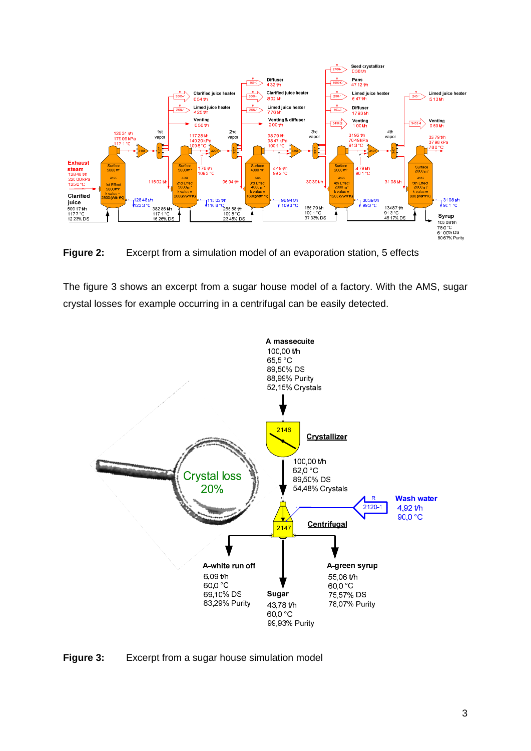

**Figure 2:** Excerpt from a simulation model of an evaporation station, 5 effects

The figure 3 shows an excerpt from a sugar house model of a factory. With the AMS, sugar crystal losses for example occurring in a centrifugal can be easily detected.



**Figure 3:** Excerpt from a sugar house simulation model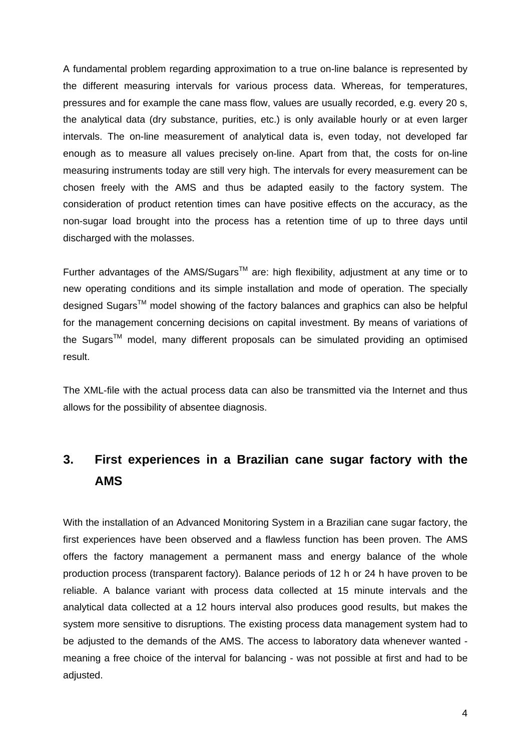A fundamental problem regarding approximation to a true on-line balance is represented by the different measuring intervals for various process data. Whereas, for temperatures, pressures and for example the cane mass flow, values are usually recorded, e.g. every 20 s, the analytical data (dry substance, purities, etc.) is only available hourly or at even larger intervals. The on-line measurement of analytical data is, even today, not developed far enough as to measure all values precisely on-line. Apart from that, the costs for on-line measuring instruments today are still very high. The intervals for every measurement can be chosen freely with the AMS and thus be adapted easily to the factory system. The consideration of product retention times can have positive effects on the accuracy, as the non-sugar load brought into the process has a retention time of up to three days until discharged with the molasses.

Further advantages of the AMS/Sugars<sup>TM</sup> are: high flexibility, adjustment at any time or to new operating conditions and its simple installation and mode of operation. The specially designed Sugars<sup>™</sup> model showing of the factory balances and graphics can also be helpful for the management concerning decisions on capital investment. By means of variations of the Sugars<sup>TM</sup> model, many different proposals can be simulated providing an optimised result.

The XML-file with the actual process data can also be transmitted via the Internet and thus allows for the possibility of absentee diagnosis.

# **3. First experiences in a Brazilian cane sugar factory with the AMS**

With the installation of an Advanced Monitoring System in a Brazilian cane sugar factory, the first experiences have been observed and a flawless function has been proven. The AMS offers the factory management a permanent mass and energy balance of the whole production process (transparent factory). Balance periods of 12 h or 24 h have proven to be reliable. A balance variant with process data collected at 15 minute intervals and the analytical data collected at a 12 hours interval also produces good results, but makes the system more sensitive to disruptions. The existing process data management system had to be adjusted to the demands of the AMS. The access to laboratory data whenever wanted meaning a free choice of the interval for balancing - was not possible at first and had to be adjusted.